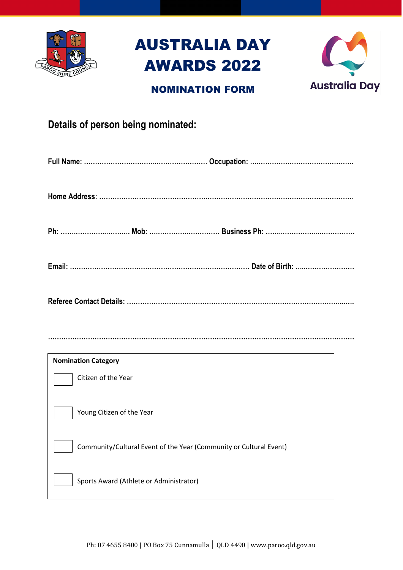

# AUSTRALIA DAY AWARDS 2022



## NOMINATION FORM

|  | Details of person being nominated: |
|--|------------------------------------|
|  |                                    |

**…………………………………………………………………………………………………………………………**

| <b>Nomination Category</b>                                         |
|--------------------------------------------------------------------|
| Citizen of the Year                                                |
| Young Citizen of the Year                                          |
| Community/Cultural Event of the Year (Community or Cultural Event) |
| Sports Award (Athlete or Administrator)                            |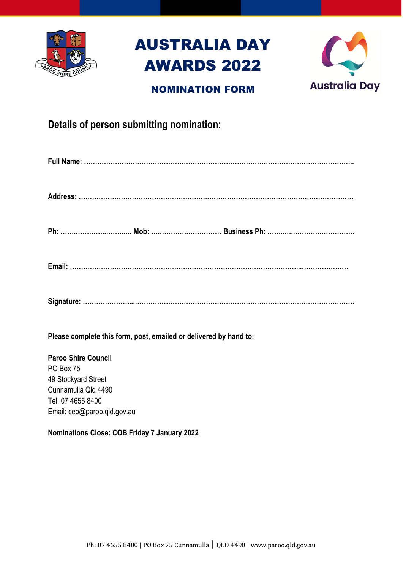

# AUSTRALIA DAY AWARDS 2022

## NOMINATION FORM



## **Details of person submitting nomination:**

|--|--|--|--|

|--|

**Signature: …………………...………………………………………………………………………………………**

**Please complete this form, post, emailed or delivered by hand to:**

**Paroo Shire Council** PO Box 75 49 Stockyard Street Cunnamulla Qld 4490 Tel: 07 4655 8400 Email: ceo@paroo.qld.gov.au

### **Nominations Close: COB Friday 7 January 2022**